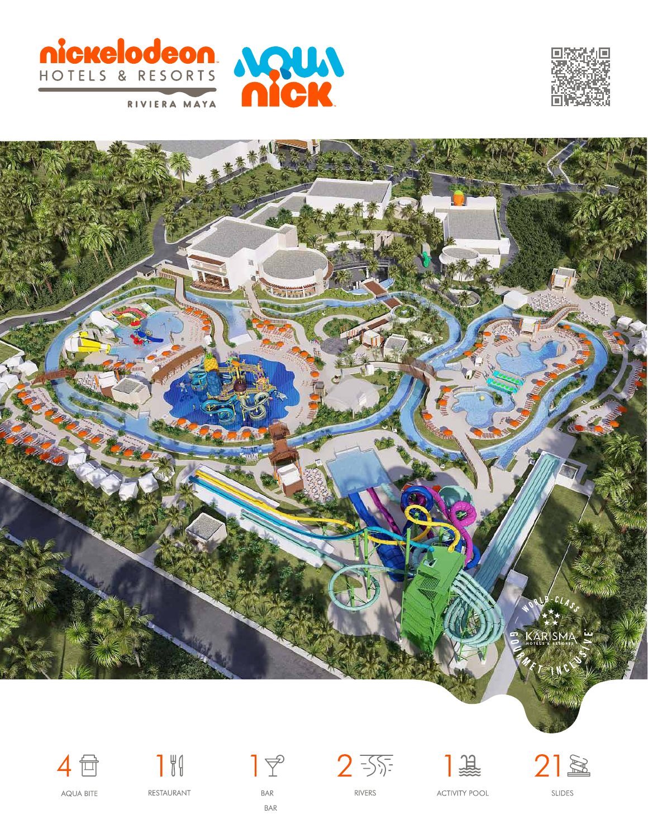













RIVERS







**AQUA BITE** 

RESTAURANT

**BAR BAR** 

**ACTIVITY POOL** 

**SLIDES**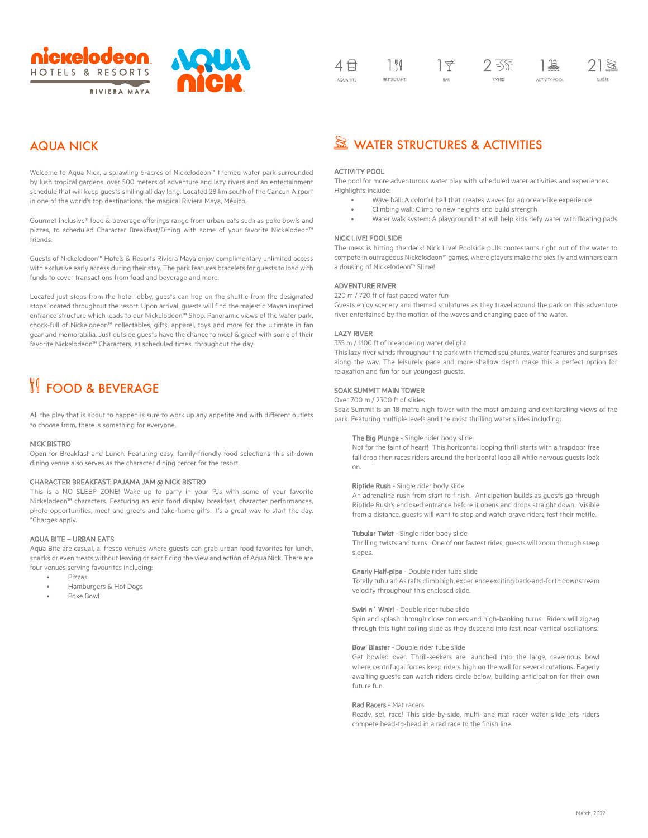



# AQUA NICK

Welcome to Aqua Nick, a sprawling 6-acres of Nickelodeon™ themed water park surrounded by lush tropical gardens, over 500 meters of adventure and lazy rivers and an entertainment schedule that will keep guests smiling all day long. Located 28 km south of the Cancun Airport in one of the world's top destinations, the magical Riviera Maya, México.

Gourmet Inclusive® food & beverage offerings range from urban eats such as poke bowls and pizzas, to scheduled Character Breakfast/Dining with some of your favorite Nickelodeon™ friends.

Guests of Nickelodeon™ Hotels & Resorts Riviera Maya enjoy complimentary unlimited access with exclusive early access during their stay. The park features bracelets for guests to load with funds to cover transactions from food and beverage and more.

Located just steps from the hotel lobby, guests can hop on the shuttle from the designated stops located throughout the resort. Upon arrival, guests will find the majestic Mayan inspired entrance structure which leads to our Nickelodeon™ Shop. Panoramic views of the water park, chock-full of Nickelodeon™ collectables, gifts, apparel, toys and more for the ultimate in fan gear and memorabilia. Just outside guests have the chance to meet & greet with some of their favorite Nickelodeon™ Characters, at scheduled times, throughout the day.

# **FOOD & BEVERAGE**

All the play that is about to happen is sure to work up any appetite and with different outlets to choose from, there is something for everyone.

#### NICK BISTRO

Open for Breakfast and Lunch. Featuring easy, family-friendly food selections this sit-down dining venue also serves as the character dining center for the resort.

# CHARACTER BREAKFAST: PAJAMA JAM @ NICK BISTRO

This is a NO SLEEP ZONE! Wake up to party in your PJs with some of your favorite Nickelodeon™ characters. Featuring an epic food display breakfast, character performances, photo opportunities, meet and greets and take-home gifts, it's a great way to start the day. \*Charges apply.

# AQUA BITE – URBAN EATS

Aqua Bite are casual, al fresco venues where guests can grab urban food favorites for lunch, snacks or even treats without leaving or sacrificing the view and action of Aqua Nick. There are four venues serving favourites including:

- Pizzas
- Hamburgers & Hot Dogs
- Poke Bowl

# **EX WATER STRUCTURES & ACTIVITIES**

### ACTIVITY POOL

The pool for more adventurous water play with scheduled water activities and experiences. Highlights include:

- Wave ball: A colorful ball that creates waves for an ocean-like experience
- Climbing wall: Climb to new heights and build strength
- Water walk system: A playground that will help kids defy water with floating pads

# NICK LIVE! POOLSIDE

The mess is hitting the deck! Nick Live! Poolside pulls contestants right out of the water to compete in outrageous Nickelodeon™ games, where players make the pies fly and winners earn a dousing of Nickelodeon™ Slime!

#### ADVENTURE RIVER

220 m / 720 ft of fast paced water fun Guests enjoy scenery and themed sculptures as they travel around the park on this adventure river entertained by the motion of the waves and changing pace of the water.

#### LAZY RIVER

335 m / 1100 ft of meandering water delight

This lazy river winds throughout the park with themed sculptures, water features and surprises along the way. The leisurely pace and more shallow depth make this a perfect option for relaxation and fun for our youngest guests.

#### SOAK SUMMIT MAIN TOWER

# Over 700 m / 2300 ft of slides

Soak Summit is an 18 metre high tower with the most amazing and exhilarating views of the park. Featuring multiple levels and the most thrilling water slides including:

#### The Big Plunge - Single rider body slide

Not for the faint of heart! This horizontal looping thrill starts with a trapdoor free fall drop then races riders around the horizontal loop all while nervous guests look on.

#### Riptide Rush - Single rider body slide

An adrenaline rush from start to finish. Anticipation builds as guests go through Riptide Rush's enclosed entrance before it opens and drops straight down. Visible from a distance, guests will want to stop and watch brave riders test their mettle.

#### Tubular Twist - Single rider body slide

Thrilling twists and turns. One of our fastest rides, guests will zoom through steep slopes.

#### Gnarly Half-pipe - Double rider tube slide

Totally tubular! As rafts climb high, experience exciting back-and-forth downstream velocity throughout this enclosed slide.

# Swirl n´ Whirl - Double rider tube slide

Spin and splash through close corners and high-banking turns. Riders will zigzag through this tight coiling slide as they descend into fast, near-vertical oscillations.

#### Bowl Blaster - Double rider tube slide

Get bowled over. Thrill-seekers are launched into the large, cavernous bowl where centrifugal forces keep riders high on the wall for several rotations. Eagerly awaiting guests can watch riders circle below, building anticipation for their own future fun.

#### Rad Racers - Mat racers

Ready, set, race! This side-by-side, multi-lane mat racer water slide lets riders compete head-to-head in a rad race to the finish line.